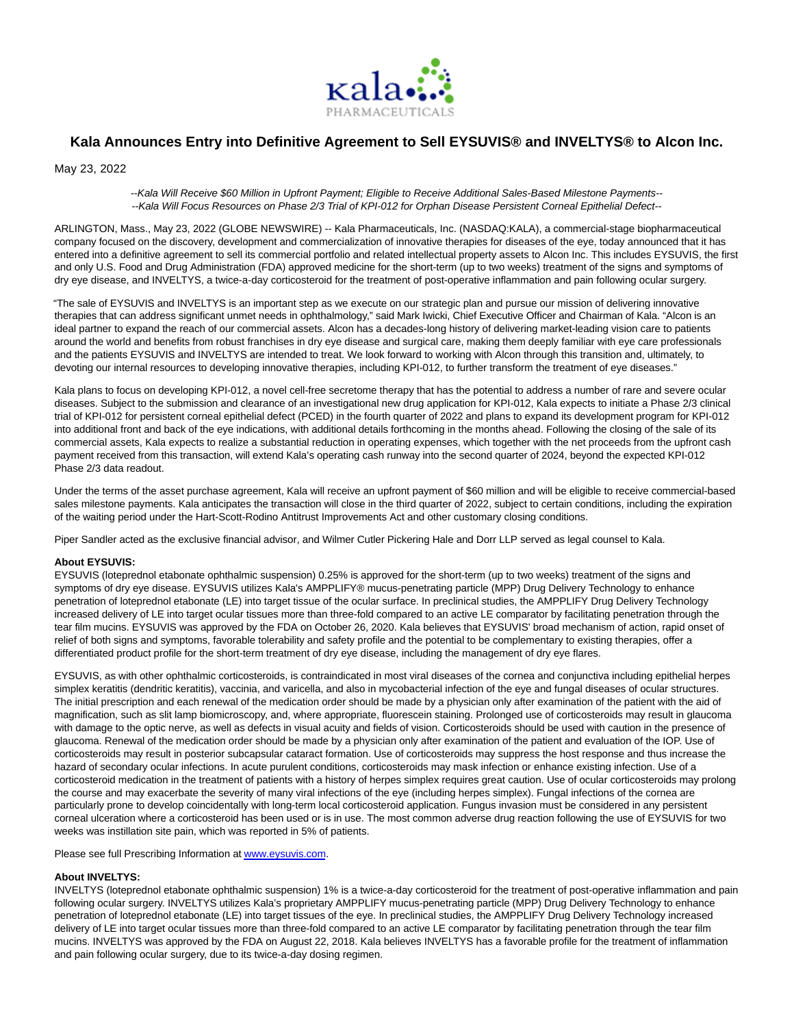

# **Kala Announces Entry into Definitive Agreement to Sell EYSUVIS® and INVELTYS® to Alcon Inc.**

May 23, 2022

--Kala Will Receive \$60 Million in Upfront Payment; Eligible to Receive Additional Sales-Based Milestone Payments-- --Kala Will Focus Resources on Phase 2/3 Trial of KPI-012 for Orphan Disease Persistent Corneal Epithelial Defect--

ARLINGTON, Mass., May 23, 2022 (GLOBE NEWSWIRE) -- Kala Pharmaceuticals, Inc. (NASDAQ:KALA), a commercial-stage biopharmaceutical company focused on the discovery, development and commercialization of innovative therapies for diseases of the eye, today announced that it has entered into a definitive agreement to sell its commercial portfolio and related intellectual property assets to Alcon Inc. This includes EYSUVIS, the first and only U.S. Food and Drug Administration (FDA) approved medicine for the short-term (up to two weeks) treatment of the signs and symptoms of dry eye disease, and INVELTYS, a twice-a-day corticosteroid for the treatment of post-operative inflammation and pain following ocular surgery.

"The sale of EYSUVIS and INVELTYS is an important step as we execute on our strategic plan and pursue our mission of delivering innovative therapies that can address significant unmet needs in ophthalmology," said Mark Iwicki, Chief Executive Officer and Chairman of Kala. "Alcon is an ideal partner to expand the reach of our commercial assets. Alcon has a decades-long history of delivering market-leading vision care to patients around the world and benefits from robust franchises in dry eye disease and surgical care, making them deeply familiar with eye care professionals and the patients EYSUVIS and INVELTYS are intended to treat. We look forward to working with Alcon through this transition and, ultimately, to devoting our internal resources to developing innovative therapies, including KPI-012, to further transform the treatment of eye diseases."

Kala plans to focus on developing KPI-012, a novel cell-free secretome therapy that has the potential to address a number of rare and severe ocular diseases. Subject to the submission and clearance of an investigational new drug application for KPI-012, Kala expects to initiate a Phase 2/3 clinical trial of KPI-012 for persistent corneal epithelial defect (PCED) in the fourth quarter of 2022 and plans to expand its development program for KPI-012 into additional front and back of the eye indications, with additional details forthcoming in the months ahead. Following the closing of the sale of its commercial assets, Kala expects to realize a substantial reduction in operating expenses, which together with the net proceeds from the upfront cash payment received from this transaction, will extend Kala's operating cash runway into the second quarter of 2024, beyond the expected KPI-012 Phase 2/3 data readout.

Under the terms of the asset purchase agreement, Kala will receive an upfront payment of \$60 million and will be eligible to receive commercial-based sales milestone payments. Kala anticipates the transaction will close in the third quarter of 2022, subject to certain conditions, including the expiration of the waiting period under the Hart-Scott-Rodino Antitrust Improvements Act and other customary closing conditions.

Piper Sandler acted as the exclusive financial advisor, and Wilmer Cutler Pickering Hale and Dorr LLP served as legal counsel to Kala.

## **About EYSUVIS:**

EYSUVIS (loteprednol etabonate ophthalmic suspension) 0.25% is approved for the short-term (up to two weeks) treatment of the signs and symptoms of dry eye disease. EYSUVIS utilizes Kala's AMPPLIFY® mucus-penetrating particle (MPP) Drug Delivery Technology to enhance penetration of loteprednol etabonate (LE) into target tissue of the ocular surface. In preclinical studies, the AMPPLIFY Drug Delivery Technology increased delivery of LE into target ocular tissues more than three-fold compared to an active LE comparator by facilitating penetration through the tear film mucins. EYSUVIS was approved by the FDA on October 26, 2020. Kala believes that EYSUVIS' broad mechanism of action, rapid onset of relief of both signs and symptoms, favorable tolerability and safety profile and the potential to be complementary to existing therapies, offer a differentiated product profile for the short-term treatment of dry eye disease, including the management of dry eye flares.

EYSUVIS, as with other ophthalmic corticosteroids, is contraindicated in most viral diseases of the cornea and conjunctiva including epithelial herpes simplex keratitis (dendritic keratitis), vaccinia, and varicella, and also in mycobacterial infection of the eye and fungal diseases of ocular structures. The initial prescription and each renewal of the medication order should be made by a physician only after examination of the patient with the aid of magnification, such as slit lamp biomicroscopy, and, where appropriate, fluorescein staining. Prolonged use of corticosteroids may result in glaucoma with damage to the optic nerve, as well as defects in visual acuity and fields of vision. Corticosteroids should be used with caution in the presence of glaucoma. Renewal of the medication order should be made by a physician only after examination of the patient and evaluation of the IOP. Use of corticosteroids may result in posterior subcapsular cataract formation. Use of corticosteroids may suppress the host response and thus increase the hazard of secondary ocular infections. In acute purulent conditions, corticosteroids may mask infection or enhance existing infection. Use of a corticosteroid medication in the treatment of patients with a history of herpes simplex requires great caution. Use of ocular corticosteroids may prolong the course and may exacerbate the severity of many viral infections of the eye (including herpes simplex). Fungal infections of the cornea are particularly prone to develop coincidentally with long-term local corticosteroid application. Fungus invasion must be considered in any persistent corneal ulceration where a corticosteroid has been used or is in use. The most common adverse drug reaction following the use of EYSUVIS for two weeks was instillation site pain, which was reported in 5% of patients.

Please see full Prescribing Information a[t www.eysuvis.com.](https://www.globenewswire.com/Tracker?data=xsHGiYoJxEG-5NNzGBs_2vYSeNFsUapkEKPNRoKHG6Xhtn0n0d0IzxlT18V-MeAcQBvVr_idGPOwlyB56FU5Mw==)

## **About INVELTYS:**

INVELTYS (loteprednol etabonate ophthalmic suspension) 1% is a twice-a-day corticosteroid for the treatment of post-operative inflammation and pain following ocular surgery. INVELTYS utilizes Kala's proprietary AMPPLIFY mucus-penetrating particle (MPP) Drug Delivery Technology to enhance penetration of loteprednol etabonate (LE) into target tissues of the eye. In preclinical studies, the AMPPLIFY Drug Delivery Technology increased delivery of LE into target ocular tissues more than three-fold compared to an active LE comparator by facilitating penetration through the tear film mucins. INVELTYS was approved by the FDA on August 22, 2018. Kala believes INVELTYS has a favorable profile for the treatment of inflammation and pain following ocular surgery, due to its twice-a-day dosing regimen.